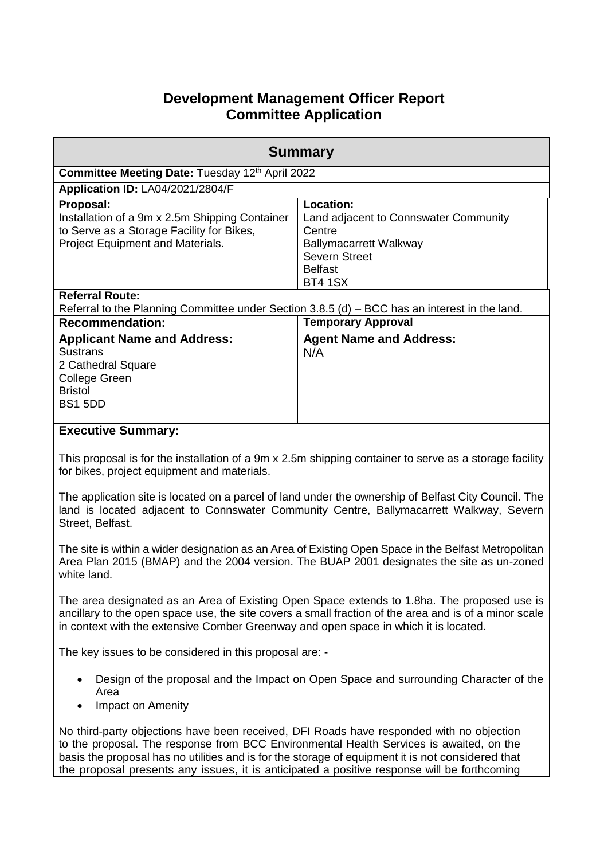# **Development Management Officer Report Committee Application**

| <b>Summary</b>                                                                                                                                      |                                                                                                                                                           |  |  |  |
|-----------------------------------------------------------------------------------------------------------------------------------------------------|-----------------------------------------------------------------------------------------------------------------------------------------------------------|--|--|--|
| <b>Committee Meeting Date: Tuesday 12th April 2022</b>                                                                                              |                                                                                                                                                           |  |  |  |
| <b>Application ID: LA04/2021/2804/F</b>                                                                                                             |                                                                                                                                                           |  |  |  |
| Proposal:<br>Installation of a 9m x 2.5m Shipping Container<br>to Serve as a Storage Facility for Bikes,<br><b>Project Equipment and Materials.</b> | Location:<br>Land adjacent to Connswater Community<br>Centre<br><b>Ballymacarrett Walkway</b><br><b>Severn Street</b><br><b>Belfast</b><br><b>BT4 1SX</b> |  |  |  |
| <b>Referral Route:</b><br>Referral to the Planning Committee under Section $3.8.5$ (d) $-$ BCC has an interest in the land.                         |                                                                                                                                                           |  |  |  |
| <b>Recommendation:</b>                                                                                                                              | <b>Temporary Approval</b>                                                                                                                                 |  |  |  |
| <b>Applicant Name and Address:</b><br><b>Sustrans</b><br>2 Cathedral Square<br>College Green<br><b>Bristol</b><br>BS1 5DD                           | <b>Agent Name and Address:</b><br>N/A                                                                                                                     |  |  |  |

# **Executive Summary:**

This proposal is for the installation of a 9m x 2.5m shipping container to serve as a storage facility for bikes, project equipment and materials.

The application site is located on a parcel of land under the ownership of Belfast City Council. The land is located adjacent to Connswater Community Centre, Ballymacarrett Walkway, Severn Street, Belfast.

The site is within a wider designation as an Area of Existing Open Space in the Belfast Metropolitan Area Plan 2015 (BMAP) and the 2004 version. The BUAP 2001 designates the site as un-zoned white land.

The area designated as an Area of Existing Open Space extends to 1.8ha. The proposed use is ancillary to the open space use, the site covers a small fraction of the area and is of a minor scale in context with the extensive Comber Greenway and open space in which it is located.

The key issues to be considered in this proposal are: -

- Design of the proposal and the Impact on Open Space and surrounding Character of the Area
- Impact on Amenity

No third-party objections have been received, DFI Roads have responded with no objection to the proposal. The response from BCC Environmental Health Services is awaited, on the basis the proposal has no utilities and is for the storage of equipment it is not considered that the proposal presents any issues, it is anticipated a positive response will be forthcoming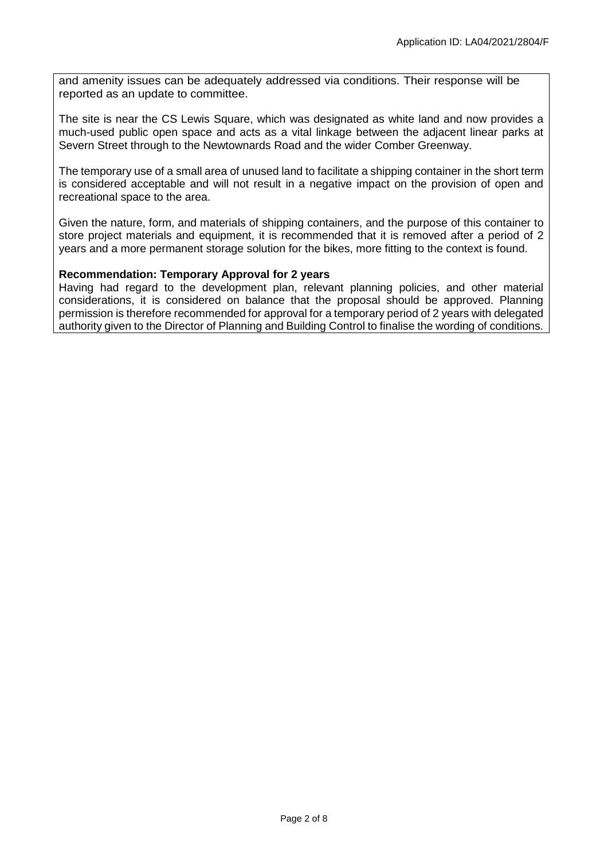and amenity issues can be adequately addressed via conditions. Their response will be reported as an update to committee.

The site is near the CS Lewis Square, which was designated as white land and now provides a much-used public open space and acts as a vital linkage between the adjacent linear parks at Severn Street through to the Newtownards Road and the wider Comber Greenway.

The temporary use of a small area of unused land to facilitate a shipping container in the short term is considered acceptable and will not result in a negative impact on the provision of open and recreational space to the area.

Given the nature, form, and materials of shipping containers, and the purpose of this container to store project materials and equipment, it is recommended that it is removed after a period of 2 years and a more permanent storage solution for the bikes, more fitting to the context is found.

#### **Recommendation: Temporary Approval for 2 years**

Having had regard to the development plan, relevant planning policies, and other material considerations, it is considered on balance that the proposal should be approved. Planning permission is therefore recommended for approval for a temporary period of 2 years with delegated authority given to the Director of Planning and Building Control to finalise the wording of conditions.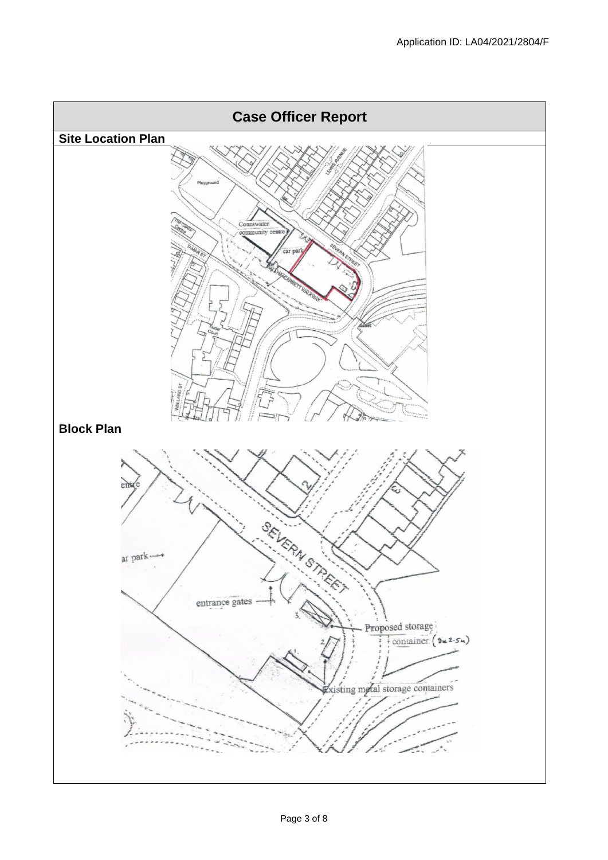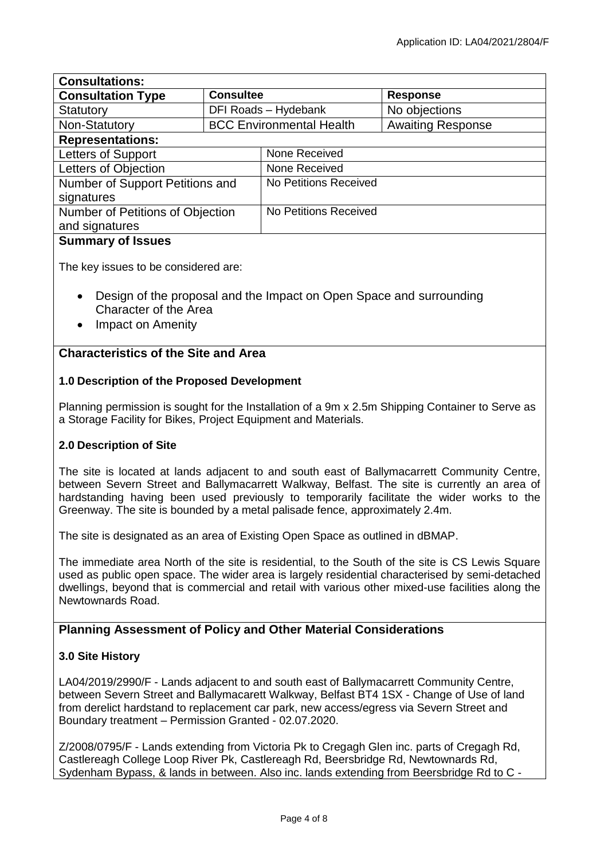| <b>Consultations:</b>            |                                 |                       |                          |
|----------------------------------|---------------------------------|-----------------------|--------------------------|
| <b>Consultation Type</b>         | <b>Consultee</b>                |                       | <b>Response</b>          |
| Statutory                        | DFI Roads - Hydebank            |                       | No objections            |
| Non-Statutory                    | <b>BCC Environmental Health</b> |                       | <b>Awaiting Response</b> |
| <b>Representations:</b>          |                                 |                       |                          |
| Letters of Support               |                                 | None Received         |                          |
| Letters of Objection             |                                 | None Received         |                          |
| Number of Support Petitions and  |                                 | No Petitions Received |                          |
| signatures                       |                                 |                       |                          |
| Number of Petitions of Objection |                                 | No Petitions Received |                          |
| and signatures                   |                                 |                       |                          |
| <b>Summary of Issues</b>         |                                 |                       |                          |

#### **Summary of Issues**

The key issues to be considered are:

- Design of the proposal and the Impact on Open Space and surrounding Character of the Area
- Impact on Amenity

# **Characteristics of the Site and Area**

# **1.0 Description of the Proposed Development**

Planning permission is sought for the Installation of a 9m x 2.5m Shipping Container to Serve as a Storage Facility for Bikes, Project Equipment and Materials.

# **2.0 Description of Site**

The site is located at lands adjacent to and south east of Ballymacarrett Community Centre, between Severn Street and Ballymacarrett Walkway, Belfast. The site is currently an area of hardstanding having been used previously to temporarily facilitate the wider works to the Greenway. The site is bounded by a metal palisade fence, approximately 2.4m.

The site is designated as an area of Existing Open Space as outlined in dBMAP.

The immediate area North of the site is residential, to the South of the site is CS Lewis Square used as public open space. The wider area is largely residential characterised by semi-detached dwellings, beyond that is commercial and retail with various other mixed-use facilities along the Newtownards Road.

# **Planning Assessment of Policy and Other Material Considerations**

### **3.0 Site History**

LA04/2019/2990/F - Lands adjacent to and south east of Ballymacarrett Community Centre, between Severn Street and Ballymacarett Walkway, Belfast BT4 1SX - Change of Use of land from derelict hardstand to replacement car park, new access/egress via Severn Street and Boundary treatment – Permission Granted - 02.07.2020.

Z/2008/0795/F - Lands extending from Victoria Pk to Cregagh Glen inc. parts of Cregagh Rd, Castlereagh College Loop River Pk, Castlereagh Rd, Beersbridge Rd, Newtownards Rd, Sydenham Bypass, & lands in between. Also inc. lands extending from Beersbridge Rd to C -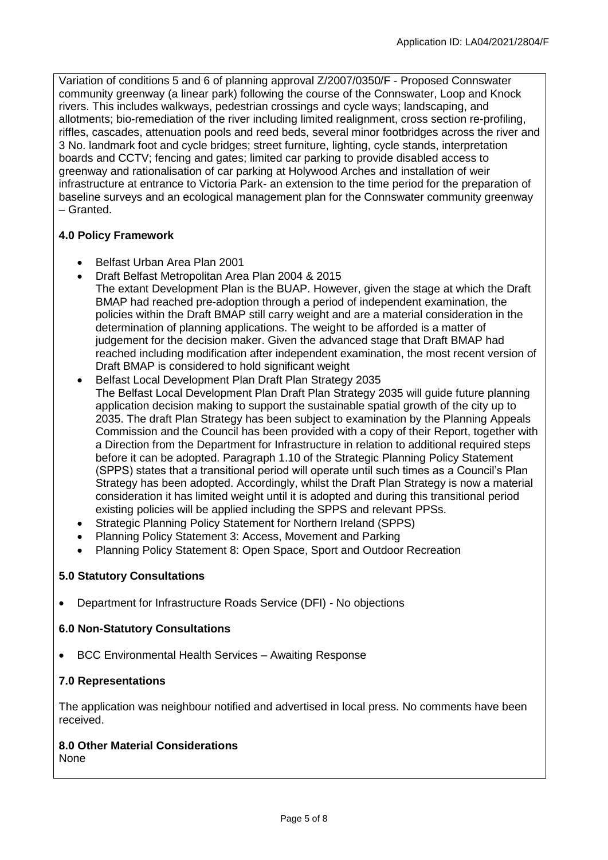Variation of conditions 5 and 6 of planning approval Z/2007/0350/F - Proposed Connswater community greenway (a linear park) following the course of the Connswater, Loop and Knock rivers. This includes walkways, pedestrian crossings and cycle ways; landscaping, and allotments; bio-remediation of the river including limited realignment, cross section re-profiling, riffles, cascades, attenuation pools and reed beds, several minor footbridges across the river and 3 No. landmark foot and cycle bridges; street furniture, lighting, cycle stands, interpretation boards and CCTV; fencing and gates; limited car parking to provide disabled access to greenway and rationalisation of car parking at Holywood Arches and installation of weir infrastructure at entrance to Victoria Park- an extension to the time period for the preparation of baseline surveys and an ecological management plan for the Connswater community greenway – Granted.

# **4.0 Policy Framework**

- Belfast Urban Area Plan 2001
- Draft Belfast Metropolitan Area Plan 2004 & 2015 The extant Development Plan is the BUAP. However, given the stage at which the Draft BMAP had reached pre-adoption through a period of independent examination, the policies within the Draft BMAP still carry weight and are a material consideration in the determination of planning applications. The weight to be afforded is a matter of judgement for the decision maker. Given the advanced stage that Draft BMAP had reached including modification after independent examination, the most recent version of Draft BMAP is considered to hold significant weight
- Belfast Local Development Plan Draft Plan Strategy 2035 The Belfast Local Development Plan Draft Plan Strategy 2035 will guide future planning application decision making to support the sustainable spatial growth of the city up to 2035. The draft Plan Strategy has been subject to examination by the Planning Appeals Commission and the Council has been provided with a copy of their Report, together with a Direction from the Department for Infrastructure in relation to additional required steps before it can be adopted. Paragraph 1.10 of the Strategic Planning Policy Statement (SPPS) states that a transitional period will operate until such times as a Council's Plan Strategy has been adopted. Accordingly, whilst the Draft Plan Strategy is now a material consideration it has limited weight until it is adopted and during this transitional period existing policies will be applied including the SPPS and relevant PPSs.
- Strategic Planning Policy Statement for Northern Ireland (SPPS)
- Planning Policy Statement 3: Access, Movement and Parking
- Planning Policy Statement 8: Open Space, Sport and Outdoor Recreation

### **5.0 Statutory Consultations**

Department for Infrastructure Roads Service (DFI) - No objections

### **6.0 Non-Statutory Consultations**

BCC Environmental Health Services – Awaiting Response

### **7.0 Representations**

The application was neighbour notified and advertised in local press. No comments have been received.

#### **8.0 Other Material Considerations**  None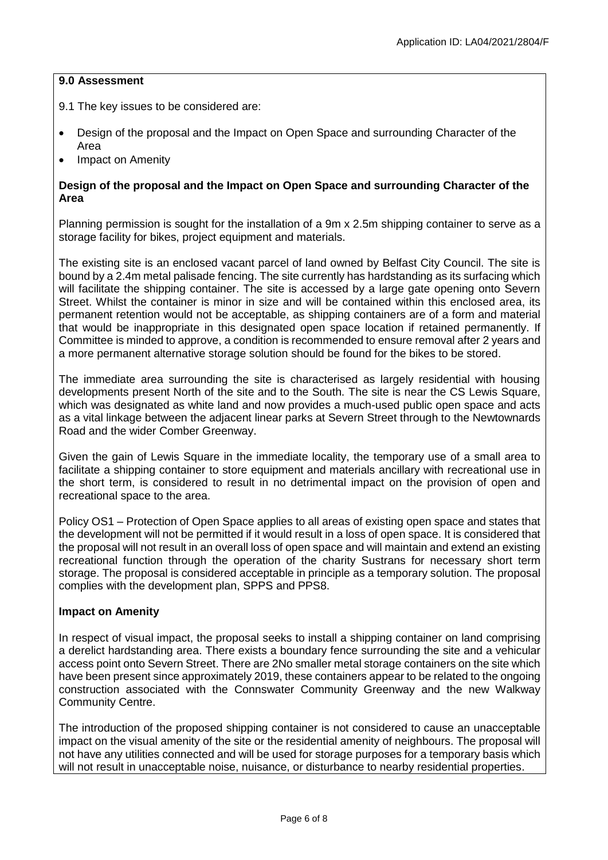#### **9.0 Assessment**

- 9.1 The key issues to be considered are:
- Design of the proposal and the Impact on Open Space and surrounding Character of the Area
- Impact on Amenity

### **Design of the proposal and the Impact on Open Space and surrounding Character of the Area**

Planning permission is sought for the installation of a 9m x 2.5m shipping container to serve as a storage facility for bikes, project equipment and materials.

The existing site is an enclosed vacant parcel of land owned by Belfast City Council. The site is bound by a 2.4m metal palisade fencing. The site currently has hardstanding as its surfacing which will facilitate the shipping container. The site is accessed by a large gate opening onto Severn Street. Whilst the container is minor in size and will be contained within this enclosed area, its permanent retention would not be acceptable, as shipping containers are of a form and material that would be inappropriate in this designated open space location if retained permanently. If Committee is minded to approve, a condition is recommended to ensure removal after 2 years and a more permanent alternative storage solution should be found for the bikes to be stored.

The immediate area surrounding the site is characterised as largely residential with housing developments present North of the site and to the South. The site is near the CS Lewis Square, which was designated as white land and now provides a much-used public open space and acts as a vital linkage between the adjacent linear parks at Severn Street through to the Newtownards Road and the wider Comber Greenway.

Given the gain of Lewis Square in the immediate locality, the temporary use of a small area to facilitate a shipping container to store equipment and materials ancillary with recreational use in the short term, is considered to result in no detrimental impact on the provision of open and recreational space to the area.

Policy OS1 – Protection of Open Space applies to all areas of existing open space and states that the development will not be permitted if it would result in a loss of open space. It is considered that the proposal will not result in an overall loss of open space and will maintain and extend an existing recreational function through the operation of the charity Sustrans for necessary short term storage. The proposal is considered acceptable in principle as a temporary solution. The proposal complies with the development plan, SPPS and PPS8.

### **Impact on Amenity**

In respect of visual impact, the proposal seeks to install a shipping container on land comprising a derelict hardstanding area. There exists a boundary fence surrounding the site and a vehicular access point onto Severn Street. There are 2No smaller metal storage containers on the site which have been present since approximately 2019, these containers appear to be related to the ongoing construction associated with the Connswater Community Greenway and the new Walkway Community Centre.

The introduction of the proposed shipping container is not considered to cause an unacceptable impact on the visual amenity of the site or the residential amenity of neighbours. The proposal will not have any utilities connected and will be used for storage purposes for a temporary basis which will not result in unacceptable noise, nuisance, or disturbance to nearby residential properties.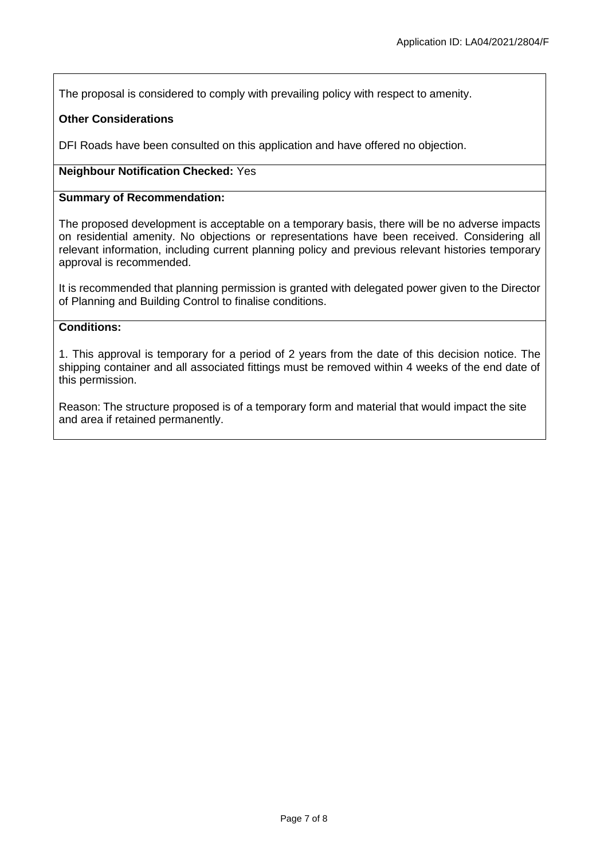The proposal is considered to comply with prevailing policy with respect to amenity.

### **Other Considerations**

DFI Roads have been consulted on this application and have offered no objection.

### **Neighbour Notification Checked:** Yes

#### **Summary of Recommendation:**

The proposed development is acceptable on a temporary basis, there will be no adverse impacts on residential amenity. No objections or representations have been received. Considering all relevant information, including current planning policy and previous relevant histories temporary approval is recommended.

It is recommended that planning permission is granted with delegated power given to the Director of Planning and Building Control to finalise conditions.

#### **Conditions:**

1. This approval is temporary for a period of 2 years from the date of this decision notice. The shipping container and all associated fittings must be removed within 4 weeks of the end date of this permission.

Reason: The structure proposed is of a temporary form and material that would impact the site and area if retained permanently.